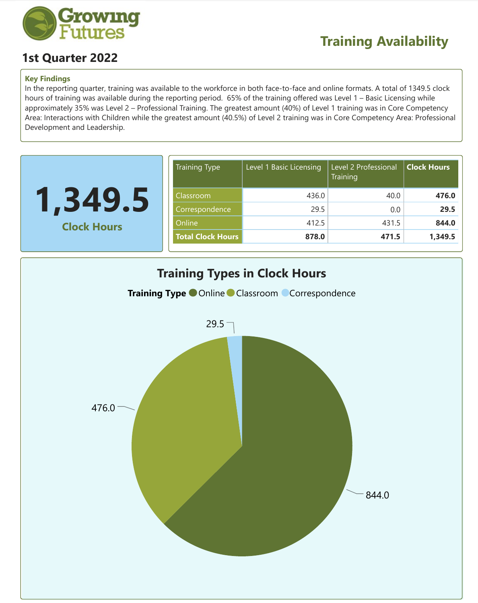

## **1st Quarter 2022**

## **Key Findings**

In the reporting quarter, training was available to the workforce in both face-to-face and online formats. A total of 1349.5 clock hours of training was available during the reporting period. 65% of the training offered was Level 1 – Basic Licensing while approximately 35% was Level 2 – Professional Training. The greatest amount (40%) of Level 1 training was in Core Competency Area: Interactions with Children while the greatest amount (40.5%) of Level 2 training was in Core Competency Area: Professional Development and Leadership.

| <b>Training Type</b>     | Level 1 Basic Licensing | Level 2 Professional<br>Training | <b>Clock Hours</b> |
|--------------------------|-------------------------|----------------------------------|--------------------|
| Classroom                | 436.0                   | 40.0                             | 476.0              |
| Correspondence           | 29.5                    | 0.0                              | 29.5               |
| Online                   | 412.5                   | 431.5                            | 844.0              |
| <b>Total Clock Hours</b> | 878.0                   | 471.5                            | 1,349.5            |
|                          |                         |                                  |                    |